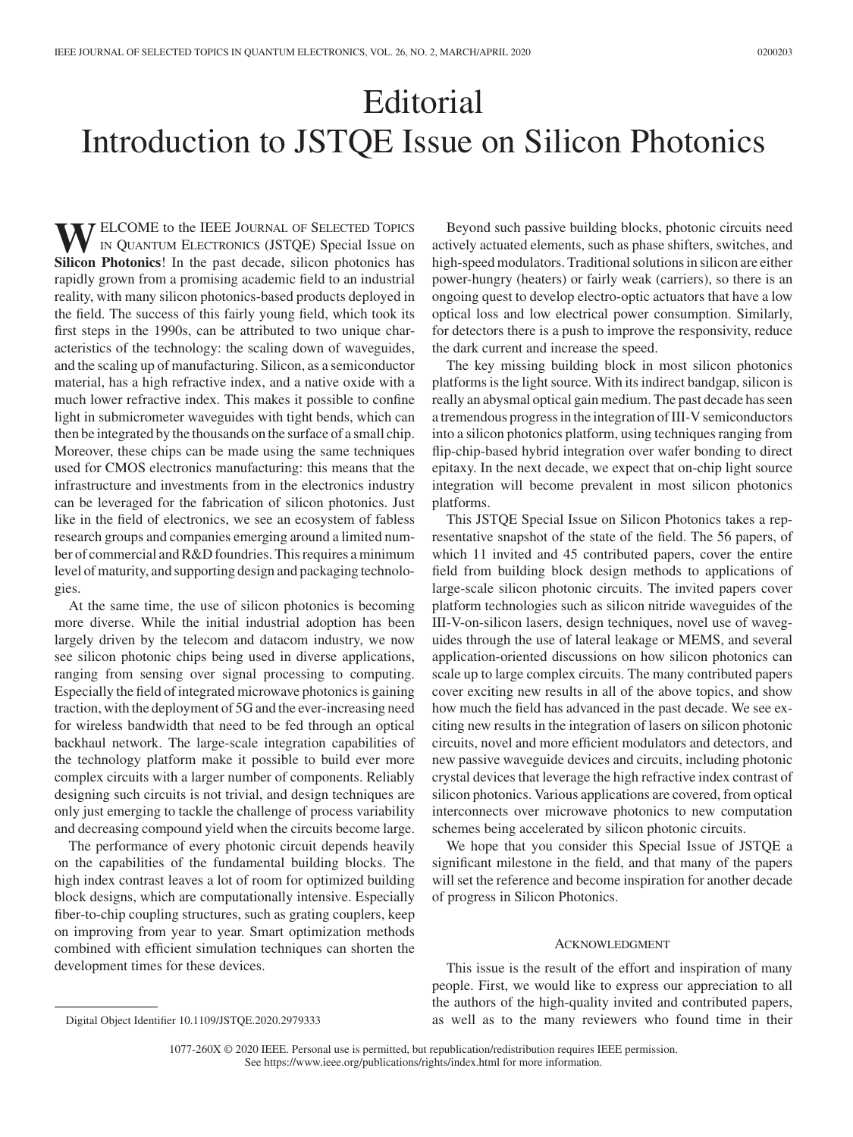## Editorial Introduction to JSTQE Issue on Silicon Photonics

**WELCOME** to the IEEE JOURNAL OF SELECTED TOPICS<br>
IN QUANTUM ELECTRONICS (JSTQE) Special Issue on<br>
Silicon Photonics In the next decede, silicon photonics has **Silicon Photonics**! In the past decade, silicon photonics has rapidly grown from a promising academic field to an industrial reality, with many silicon photonics-based products deployed in the field. The success of this fairly young field, which took its first steps in the 1990s, can be attributed to two unique characteristics of the technology: the scaling down of waveguides, and the scaling up of manufacturing. Silicon, as a semiconductor material, has a high refractive index, and a native oxide with a much lower refractive index. This makes it possible to confine light in submicrometer waveguides with tight bends, which can then be integrated by the thousands on the surface of a small chip. Moreover, these chips can be made using the same techniques used for CMOS electronics manufacturing: this means that the infrastructure and investments from in the electronics industry can be leveraged for the fabrication of silicon photonics. Just like in the field of electronics, we see an ecosystem of fabless research groups and companies emerging around a limited number of commercial and R&D foundries. This requires a minimum level of maturity, and supporting design and packaging technologies.

At the same time, the use of silicon photonics is becoming more diverse. While the initial industrial adoption has been largely driven by the telecom and datacom industry, we now see silicon photonic chips being used in diverse applications, ranging from sensing over signal processing to computing. Especially the field of integrated microwave photonics is gaining traction, with the deployment of 5G and the ever-increasing need for wireless bandwidth that need to be fed through an optical backhaul network. The large-scale integration capabilities of the technology platform make it possible to build ever more complex circuits with a larger number of components. Reliably designing such circuits is not trivial, and design techniques are only just emerging to tackle the challenge of process variability and decreasing compound yield when the circuits become large.

The performance of every photonic circuit depends heavily on the capabilities of the fundamental building blocks. The high index contrast leaves a lot of room for optimized building block designs, which are computationally intensive. Especially fiber-to-chip coupling structures, such as grating couplers, keep on improving from year to year. Smart optimization methods combined with efficient simulation techniques can shorten the development times for these devices.

Beyond such passive building blocks, photonic circuits need actively actuated elements, such as phase shifters, switches, and high-speed modulators. Traditional solutions in silicon are either power-hungry (heaters) or fairly weak (carriers), so there is an ongoing quest to develop electro-optic actuators that have a low optical loss and low electrical power consumption. Similarly, for detectors there is a push to improve the responsivity, reduce the dark current and increase the speed.

The key missing building block in most silicon photonics platforms is the light source. With its indirect bandgap, silicon is really an abysmal optical gain medium. The past decade has seen a tremendous progress in the integration of III-V semiconductors into a silicon photonics platform, using techniques ranging from flip-chip-based hybrid integration over wafer bonding to direct epitaxy. In the next decade, we expect that on-chip light source integration will become prevalent in most silicon photonics platforms.

This JSTQE Special Issue on Silicon Photonics takes a representative snapshot of the state of the field. The 56 papers, of which 11 invited and 45 contributed papers, cover the entire field from building block design methods to applications of large-scale silicon photonic circuits. The invited papers cover platform technologies such as silicon nitride waveguides of the III-V-on-silicon lasers, design techniques, novel use of waveguides through the use of lateral leakage or MEMS, and several application-oriented discussions on how silicon photonics can scale up to large complex circuits. The many contributed papers cover exciting new results in all of the above topics, and show how much the field has advanced in the past decade. We see exciting new results in the integration of lasers on silicon photonic circuits, novel and more efficient modulators and detectors, and new passive waveguide devices and circuits, including photonic crystal devices that leverage the high refractive index contrast of silicon photonics. Various applications are covered, from optical interconnects over microwave photonics to new computation schemes being accelerated by silicon photonic circuits.

We hope that you consider this Special Issue of JSTQE a significant milestone in the field, and that many of the papers will set the reference and become inspiration for another decade of progress in Silicon Photonics.

## ACKNOWLEDGMENT

This issue is the result of the effort and inspiration of many people. First, we would like to express our appreciation to all the authors of the high-quality invited and contributed papers, as well as to the many reviewers who found time in their

1077-260X © 2020 IEEE. Personal use is permitted, but republication/redistribution requires IEEE permission.

See https://www.ieee.org/publications/rights/index.html for more information.

Digital Object Identifier 10.1109/JSTQE.2020.2979333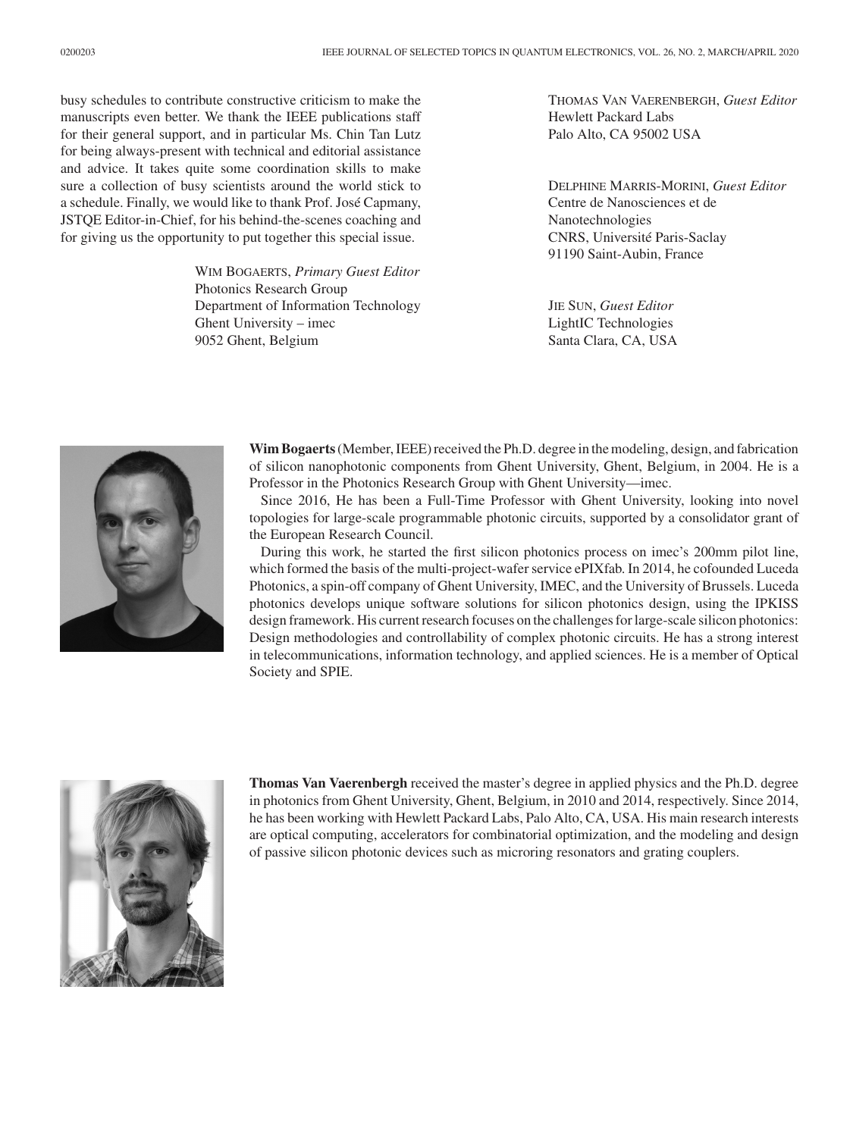busy schedules to contribute constructive criticism to make the manuscripts even better. We thank the IEEE publications staff for their general support, and in particular Ms. Chin Tan Lutz for being always-present with technical and editorial assistance and advice. It takes quite some coordination skills to make sure a collection of busy scientists around the world stick to a schedule. Finally, we would like to thank Prof. José Capmany, JSTQE Editor-in-Chief, for his behind-the-scenes coaching and for giving us the opportunity to put together this special issue.

> WIM BOGAERTS, *Primary Guest Editor* Photonics Research Group Department of Information Technology Ghent University – imec 9052 Ghent, Belgium

THOMAS VAN VAERENBERGH, *Guest Editor* Hewlett Packard Labs Palo Alto, CA 95002 USA

DELPHINE MARRIS-MORINI, *Guest Editor* Centre de Nanosciences et de Nanotechnologies CNRS, Université Paris-Saclay 91190 Saint-Aubin, France

JIE SUN, *Guest Editor* LightIC Technologies Santa Clara, CA, USA



**Wim Bogaerts**(Member, IEEE) received the Ph.D. degree in the modeling, design, and fabrication of silicon nanophotonic components from Ghent University, Ghent, Belgium, in 2004. He is a Professor in the Photonics Research Group with Ghent University—imec.

Since 2016, He has been a Full-Time Professor with Ghent University, looking into novel topologies for large-scale programmable photonic circuits, supported by a consolidator grant of the European Research Council.

During this work, he started the first silicon photonics process on imec's 200mm pilot line, which formed the basis of the multi-project-wafer service ePIXfab. In 2014, he cofounded Luceda Photonics, a spin-off company of Ghent University, IMEC, and the University of Brussels. Luceda photonics develops unique software solutions for silicon photonics design, using the IPKISS design framework. His current research focuses on the challenges for large-scale silicon photonics: Design methodologies and controllability of complex photonic circuits. He has a strong interest in telecommunications, information technology, and applied sciences. He is a member of Optical Society and SPIE.



**Thomas Van Vaerenbergh** received the master's degree in applied physics and the Ph.D. degree in photonics from Ghent University, Ghent, Belgium, in 2010 and 2014, respectively. Since 2014, he has been working with Hewlett Packard Labs, Palo Alto, CA, USA. His main research interests are optical computing, accelerators for combinatorial optimization, and the modeling and design of passive silicon photonic devices such as microring resonators and grating couplers.